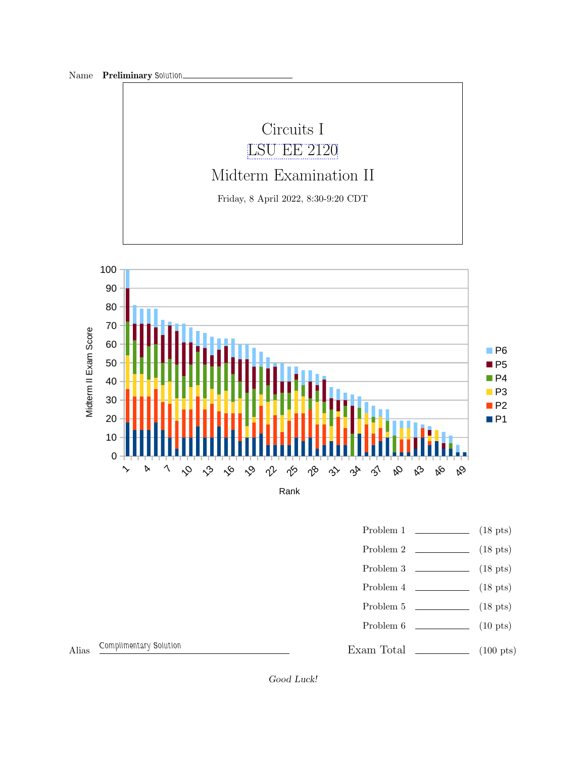

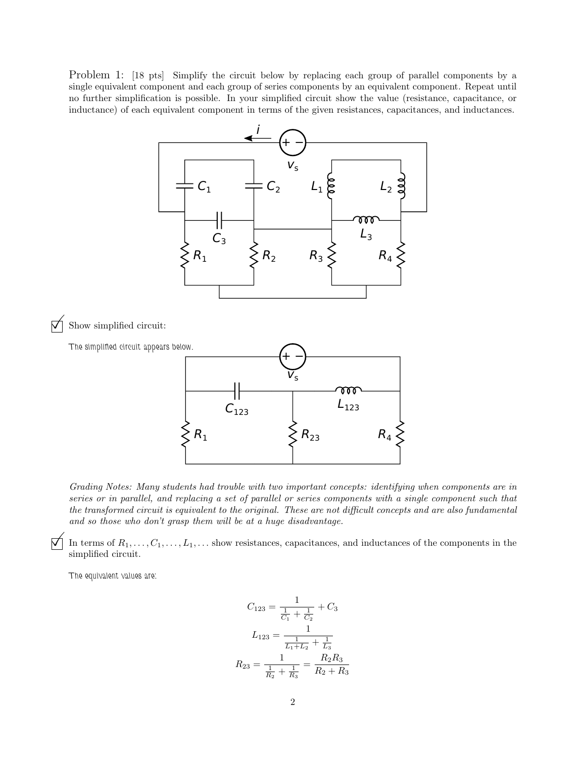Problem 1: [18 pts] Simplify the circuit below by replacing each group of parallel components by a single equivalent component and each group of series components by an equivalent component. Repeat until no further simplification is possible. In your simplified circuit show the value (resistance, capacitance, or inductance) of each equivalent component in terms of the given resistances, capacitances, and inductances.



 $\triangledown$  Show simplified circuit:



Grading Notes: Many students had trouble with two important concepts: identifying when components are in series or in parallel, and replacing a set of parallel or series components with a single component such that the transformed circuit is equivalent to the original. These are not difficult concepts and are also fundamental and so those who don't grasp them will be at a huge disadvantage.

 $\Box$  In terms of  $R_1, \ldots, C_1, \ldots, L_1, \ldots$  show resistances, capacitances, and inductances of the components in the simplified circuit.

The equivalent values are:

$$
C_{123} = \frac{1}{\frac{1}{C_1} + \frac{1}{C_2}} + C_3
$$

$$
L_{123} = \frac{1}{\frac{1}{L_1 + L_2} + \frac{1}{L_3}}
$$

$$
R_{23} = \frac{1}{\frac{1}{R_2} + \frac{1}{R_3}} = \frac{R_2 R_3}{R_2 + R_3}
$$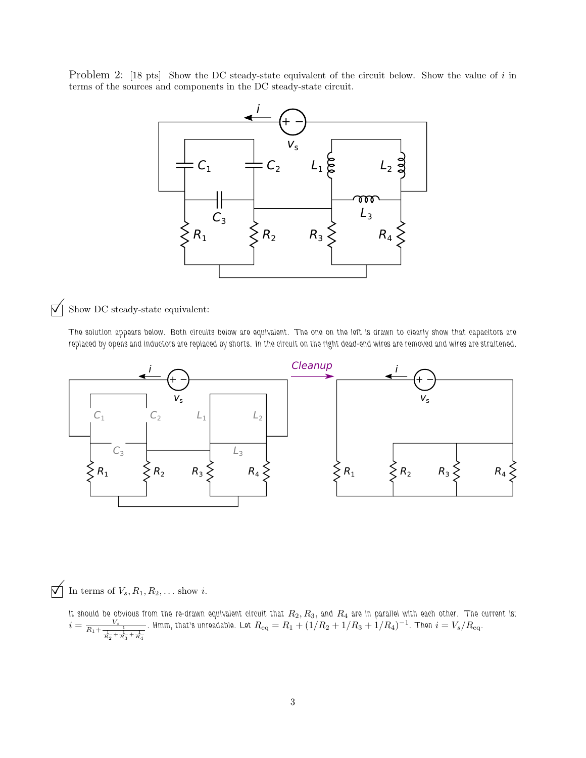Problem 2: [18 pts] Show the DC steady-state equivalent of the circuit below. Show the value of i in terms of the sources and components in the DC steady-state circuit.



## $\overrightarrow{\bigvee}$  Show DC steady-state equivalent:

The solution appears below. Both circuits below are equivalent. The one on the left is drawn to clearly show that capacitors are replaced by opens and inductors are replaced by shorts. In the circuit on the right dead-end wires are removed and wires are straitened.



 $\bigtriangledown$  In terms of  $V_s, R_1, R_2, \ldots$  show i.

It should be obvious from the re-drawn equivalent circuit that  $R_2,R_3,$  and  $R_4$  are in parallel with each other. The current is:  $i = \frac{V_s}{R_1 + \frac{1}{\frac{1}{R_2} + \frac{1}{R_3} + \frac{1}{R_4}}}$ . Hmm, that's unreadable. Let  $R_{\rm eq} = R_1 + (1/R_2 + 1/R_3 + 1/R_4)^{-1}$ . Then  $i = V_s/R_{\rm eq}$ .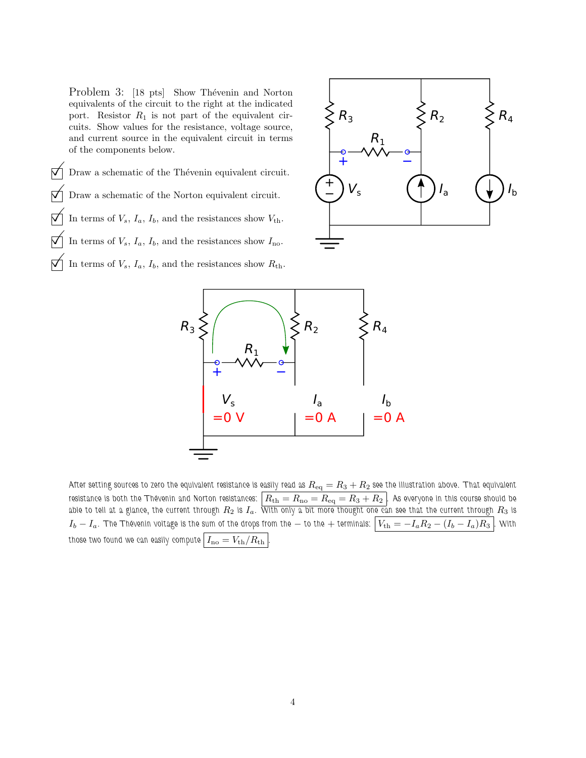Problem 3: [18 pts] Show Thévenin and Norton equivalents of the circuit to the right at the indicated port. Resistor  $R_1$  is not part of the equivalent circuits. Show values for the resistance, voltage source, and current source in the equivalent circuit in terms of the components below.

 $\nabla$  Draw a schematic of the Thévenin equivalent circuit. Draw a schematic of the Norton equivalent circuit. In terms of  $V_s$ ,  $I_a$ ,  $I_b$ , and the resistances show  $V_{th}$ . In terms of  $V_s$ ,  $I_a$ ,  $I_b$ , and the resistances show  $I_{\text{no}}$ . In terms of  $V_s$ ,  $I_a$ ,  $I_b$ , and the resistances show  $R_{th}$ .





After setting sources to zero the equivalent resistance is easily read as  $R_{\rm eq}=R_3+R_2$  see the illustration above. That equivalent resistance is both the Thévenin and Norton resistances:  $\mid R_{\rm th}=R_{\rm no}=R_{\rm eq}=R_3+R_2$  ]. As everyone in this course should be able to tell at a glance, the current through  $R_2$  is  $I_a$ . With only a bit more thought one can see that the current through  $R_3$  is  $I_b - I_a$ . The Thévenin voltage is the sum of the drops from the  $-$  to the  $+$  terminals:  $\boxed{V_{\rm th} = -I_a R_2 - (I_b - I_a)R_3}$  . With those two found we can easily compute  $I_{\text{no}} = V_{\text{th}}/R_{\text{th}}$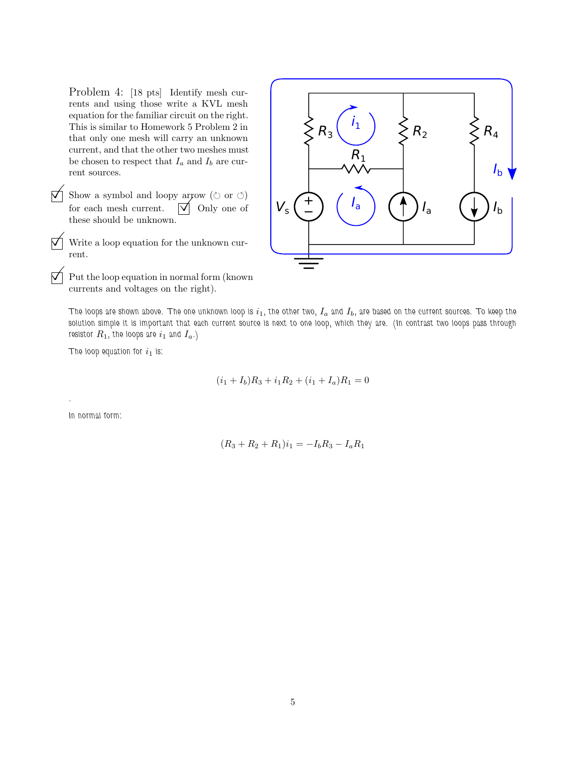Problem 4: [18 pts] Identify mesh currents and using those write a KVL mesh equation for the familiar circuit on the right. This is similar to Homework 5 Problem 2 in that only one mesh will carry an unknown current, and that the other two meshes must be chosen to respect that  $I_a$  and  $I_b$  are current sources.

 $\overrightarrow{\bigvee}$  Show a symbol and loopy arrow ( $\circ$  or  $\circ$ ) for each mesh current.  $\forall$  Only one of these should be unknown.

 $\nabla$  Write a loop equation for the unknown current.

 $\triangledown$  Put the loop equation in normal form (known) currents and voltages on the right).



The loops are shown above. The one unknown loop is  $i_1$ , the other two,  $I_a$  and  $I_b$ , are based on the current sources. To keep the solution simple it is important that each current source is next to one loop, which they are. (In contrast two loops pass through resistor  $R_1$ , the loops are  $i_1$  and  $I_a$ .)

The loop equation for  $i_1$  is:

$$
(i_1 + I_b)R_3 + i_1R_2 + (i_1 + I_a)R_1 = 0
$$

In normal form:

.

$$
(R_3 + R_2 + R_1)i_1 = -I_b R_3 - I_a R_1
$$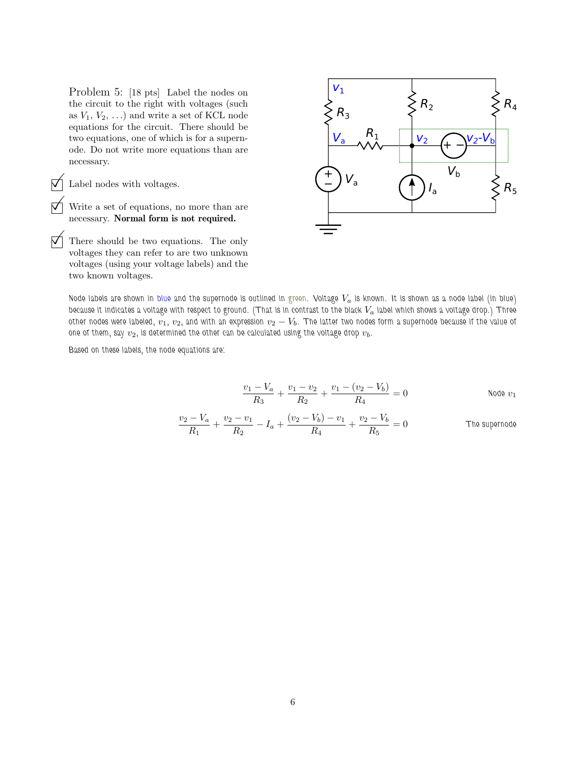Problem 5: [18 pts] Label the nodes on the circuit to the right with voltages (such as  $V_1, V_2, \ldots$ ) and write a set of KCL node equations for the circuit. There should be two equations, one of which is for a supernode. Do not write more equations than are necessary.

 $\Box$  Label nodes with voltages.<br>  $\bigwedge$  Write a set of equations, n

Write a set of equations, no more than are necessary. Normal form is not required.

 There should be two equations. The only voltages they can refer to are two unknown voltages (using your voltage labels) and the two known voltages.



Node labels are shown in blue and the supernode is outlined in green. Voltage  $V_a$  is known. It is shown as a node label (in blue) because it indicates a voltage with respect to ground. (That is in contrast to the black  $V_a$  label which shows a voltage drop.) Three other nodes were labeled,  $v_1$ ,  $v_2$ , and with an expression  $v_2 - V_b$ . The latter two nodes form a supernode because if the value of one of them, say  $v_2$ , is determined the other can be calculated using the voltage drop  $v_b$ .

Based on these labels, the node equations are:

$$
\frac{v_1 - V_a}{R_3} + \frac{v_1 - v_2}{R_2} + \frac{v_1 - (v_2 - V_b)}{R_4} = 0
$$
Node v<sub>1</sub>

$$
\frac{v_2 - V_a}{R_1} + \frac{v_2 - v_1}{R_2} - I_a + \frac{(v_2 - V_b) - v_1}{R_4} + \frac{v_2 - V_b}{R_5} = 0
$$
 The supernode